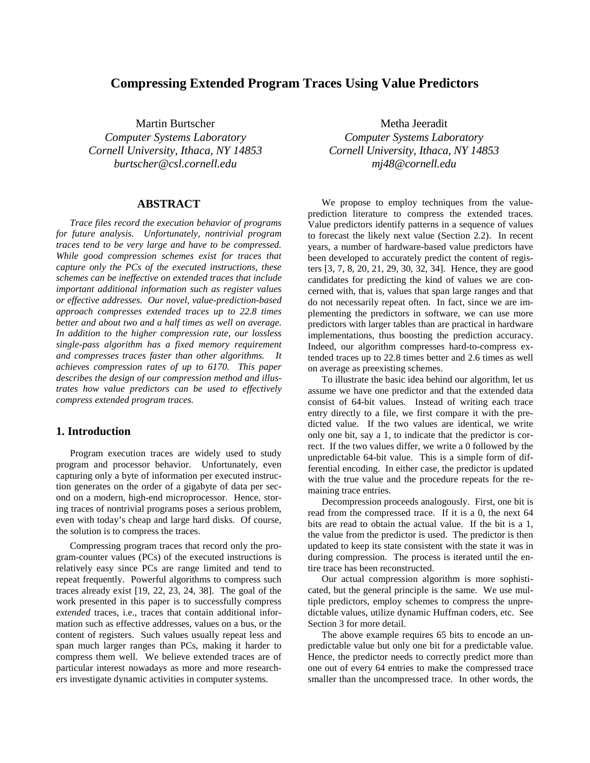# **Compressing Extended Program Traces Using Value Predictors**

Martin Burtscher *Computer Systems Laboratory Cornell University, Ithaca, NY 14853 burtscher@csl.cornell.edu*

## **ABSTRACT**

*Trace files record the execution behavior of programs for future analysis. Unfortunately, nontrivial program traces tend to be very large and have to be compressed. While good compression schemes exist for traces that capture only the PCs of the executed instructions, these schemes can be ineffective on extended traces that include important additional information such as register values or effective addresses. Our novel, value-prediction-based approach compresses extended traces up to 22.8 times better and about two and a half times as well on average. In addition to the higher compression rate, our lossless single-pass algorithm has a fixed memory requirement and compresses traces faster than other algorithms. It achieves compression rates of up to 6170. This paper describes the design of our compression method and illustrates how value predictors can be used to effectively compress extended program traces.*

### **1. Introduction**

Program execution traces are widely used to study program and processor behavior. Unfortunately, even capturing only a byte of information per executed instruction generates on the order of a gigabyte of data per second on a modern, high-end microprocessor. Hence, storing traces of nontrivial programs poses a serious problem, even with today's cheap and large hard disks. Of course, the solution is to compress the traces.

Compressing program traces that record only the program-counter values (PCs) of the executed instructions is relatively easy since PCs are range limited and tend to repeat frequently. Powerful algorithms to compress such traces already exist [19, 22, 23, 24, 38]. The goal of the work presented in this paper is to successfully compress *extended* traces, i.e., traces that contain additional information such as effective addresses, values on a bus, or the content of registers. Such values usually repeat less and span much larger ranges than PCs, making it harder to compress them well. We believe extended traces are of particular interest nowadays as more and more researchers investigate dynamic activities in computer systems.

Metha Jeeradit *Computer Systems Laboratory Cornell University, Ithaca, NY 14853 mj48@cornell.edu* 

We propose to employ techniques from the valueprediction literature to compress the extended traces. Value predictors identify patterns in a sequence of values to forecast the likely next value (Section 2.2). In recent years, a number of hardware-based value predictors have been developed to accurately predict the content of registers [3, 7, 8, 20, 21, 29, 30, 32, 34]. Hence, they are good candidates for predicting the kind of values we are concerned with, that is, values that span large ranges and that do not necessarily repeat often. In fact, since we are implementing the predictors in software, we can use more predictors with larger tables than are practical in hardware implementations, thus boosting the prediction accuracy. Indeed, our algorithm compresses hard-to-compress extended traces up to 22.8 times better and 2.6 times as well on average as preexisting schemes.

To illustrate the basic idea behind our algorithm, let us assume we have one predictor and that the extended data consist of 64-bit values. Instead of writing each trace entry directly to a file, we first compare it with the predicted value. If the two values are identical, we write only one bit, say a 1, to indicate that the predictor is correct. If the two values differ, we write a 0 followed by the unpredictable 64-bit value. This is a simple form of differential encoding. In either case, the predictor is updated with the true value and the procedure repeats for the remaining trace entries.

Decompression proceeds analogously. First, one bit is read from the compressed trace. If it is a 0, the next 64 bits are read to obtain the actual value. If the bit is a 1, the value from the predictor is used. The predictor is then updated to keep its state consistent with the state it was in during compression. The process is iterated until the entire trace has been reconstructed.

Our actual compression algorithm is more sophisticated, but the general principle is the same. We use multiple predictors, employ schemes to compress the unpredictable values, utilize dynamic Huffman coders, etc. See Section 3 for more detail.

The above example requires 65 bits to encode an unpredictable value but only one bit for a predictable value. Hence, the predictor needs to correctly predict more than one out of every 64 entries to make the compressed trace smaller than the uncompressed trace. In other words, the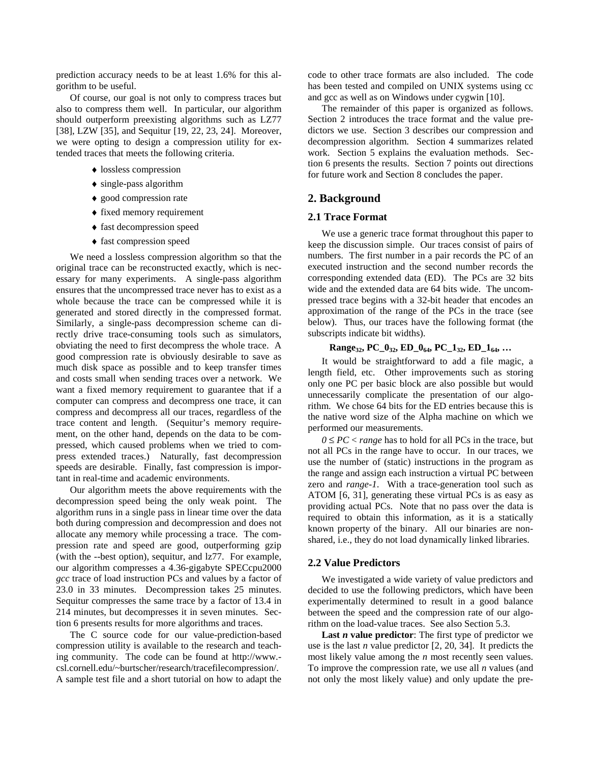prediction accuracy needs to be at least 1.6% for this algorithm to be useful.

Of course, our goal is not only to compress traces but also to compress them well. In particular, our algorithm should outperform preexisting algorithms such as LZ77 [38], LZW [35], and Sequitur [19, 22, 23, 24]. Moreover, we were opting to design a compression utility for extended traces that meets the following criteria.

- ♦ lossless compression
- ♦ single-pass algorithm
- ♦ good compression rate
- ♦ fixed memory requirement
- ♦ fast decompression speed
- ♦ fast compression speed

We need a lossless compression algorithm so that the original trace can be reconstructed exactly, which is necessary for many experiments. A single-pass algorithm ensures that the uncompressed trace never has to exist as a whole because the trace can be compressed while it is generated and stored directly in the compressed format. Similarly, a single-pass decompression scheme can directly drive trace-consuming tools such as simulators, obviating the need to first decompress the whole trace. A good compression rate is obviously desirable to save as much disk space as possible and to keep transfer times and costs small when sending traces over a network. We want a fixed memory requirement to guarantee that if a computer can compress and decompress one trace, it can compress and decompress all our traces, regardless of the trace content and length. (Sequitur's memory requirement, on the other hand, depends on the data to be compressed, which caused problems when we tried to compress extended traces.) Naturally, fast decompression speeds are desirable. Finally, fast compression is important in real-time and academic environments.

Our algorithm meets the above requirements with the decompression speed being the only weak point. The algorithm runs in a single pass in linear time over the data both during compression and decompression and does not allocate any memory while processing a trace. The compression rate and speed are good, outperforming gzip (with the --best option), sequitur, and lz77. For example, our algorithm compresses a 4.36-gigabyte SPECcpu2000 *gcc* trace of load instruction PCs and values by a factor of 23.0 in 33 minutes. Decompression takes 25 minutes. Sequitur compresses the same trace by a factor of 13.4 in 214 minutes, but decompresses it in seven minutes. Section 6 presents results for more algorithms and traces.

The C source code for our value-prediction-based compression utility is available to the research and teaching community. The code can be found at http://www. csl.cornell.edu/~burtscher/research/tracefilecompression/. A sample test file and a short tutorial on how to adapt the code to other trace formats are also included. The code has been tested and compiled on UNIX systems using cc and gcc as well as on Windows under cygwin [10].

The remainder of this paper is organized as follows. Section 2 introduces the trace format and the value predictors we use. Section 3 describes our compression and decompression algorithm. Section 4 summarizes related work. Section 5 explains the evaluation methods. Section 6 presents the results. Section 7 points out directions for future work and Section 8 concludes the paper.

### **2. Background**

#### **2.1 Trace Format**

We use a generic trace format throughout this paper to keep the discussion simple. Our traces consist of pairs of numbers. The first number in a pair records the PC of an executed instruction and the second number records the corresponding extended data (ED). The PCs are 32 bits wide and the extended data are 64 bits wide. The uncompressed trace begins with a 32-bit header that encodes an approximation of the range of the PCs in the trace (see below). Thus, our traces have the following format (the subscripts indicate bit widths).

# **Range32, PC\_032, ED\_064, PC\_132, ED\_164, …**

It would be straightforward to add a file magic, a length field, etc. Other improvements such as storing only one PC per basic block are also possible but would unnecessarily complicate the presentation of our algorithm. We chose 64 bits for the ED entries because this is the native word size of the Alpha machine on which we performed our measurements.

 $0 \leq PC < range$  has to hold for all PCs in the trace, but not all PCs in the range have to occur. In our traces, we use the number of (static) instructions in the program as the range and assign each instruction a virtual PC between zero and *range-1*. With a trace-generation tool such as ATOM [6, 31], generating these virtual PCs is as easy as providing actual PCs. Note that no pass over the data is required to obtain this information, as it is a statically known property of the binary. All our binaries are nonshared, i.e., they do not load dynamically linked libraries.

#### **2.2 Value Predictors**

We investigated a wide variety of value predictors and decided to use the following predictors, which have been experimentally determined to result in a good balance between the speed and the compression rate of our algorithm on the load-value traces. See also Section 5.3.

Last *n* value predictor: The first type of predictor we use is the last *n* value predictor [2, 20, 34]. It predicts the most likely value among the *n* most recently seen values. To improve the compression rate, we use all *n* values (and not only the most likely value) and only update the pre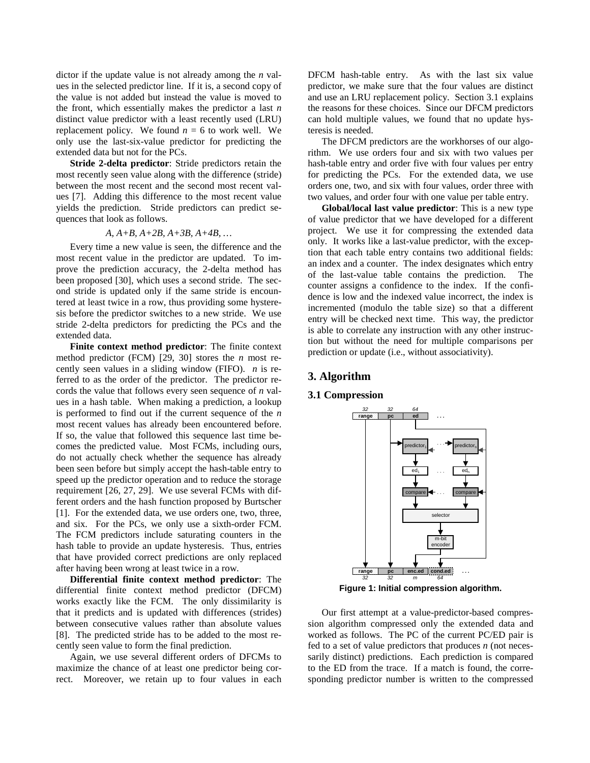dictor if the update value is not already among the *n* values in the selected predictor line. If it is, a second copy of the value is not added but instead the value is moved to the front, which essentially makes the predictor a last *n* distinct value predictor with a least recently used (LRU) replacement policy. We found  $n = 6$  to work well. We only use the last-six-value predictor for predicting the extended data but not for the PCs.

**Stride 2-delta predictor**: Stride predictors retain the most recently seen value along with the difference (stride) between the most recent and the second most recent values [7]. Adding this difference to the most recent value yields the prediction. Stride predictors can predict sequences that look as follows.

#### *A, A+B, A+2B, A+3B, A+4B, …*

Every time a new value is seen, the difference and the most recent value in the predictor are updated. To improve the prediction accuracy, the 2-delta method has been proposed [30], which uses a second stride. The second stride is updated only if the same stride is encountered at least twice in a row, thus providing some hysteresis before the predictor switches to a new stride. We use stride 2-delta predictors for predicting the PCs and the extended data.

**Finite context method predictor**: The finite context method predictor (FCM) [29, 30] stores the *n* most recently seen values in a sliding window (FIFO). *n* is referred to as the order of the predictor. The predictor records the value that follows every seen sequence of *n* values in a hash table. When making a prediction, a lookup is performed to find out if the current sequence of the *n* most recent values has already been encountered before. If so, the value that followed this sequence last time becomes the predicted value. Most FCMs, including ours, do not actually check whether the sequence has already been seen before but simply accept the hash-table entry to speed up the predictor operation and to reduce the storage requirement [26, 27, 29]. We use several FCMs with different orders and the hash function proposed by Burtscher [1]. For the extended data, we use orders one, two, three, and six. For the PCs, we only use a sixth-order FCM. The FCM predictors include saturating counters in the hash table to provide an update hysteresis. Thus, entries that have provided correct predictions are only replaced after having been wrong at least twice in a row.

**Differential finite context method predictor**: The differential finite context method predictor (DFCM) works exactly like the FCM. The only dissimilarity is that it predicts and is updated with differences (strides) between consecutive values rather than absolute values [8]. The predicted stride has to be added to the most recently seen value to form the final prediction.

Again, we use several different orders of DFCMs to maximize the chance of at least one predictor being correct. Moreover, we retain up to four values in each DFCM hash-table entry. As with the last six value predictor, we make sure that the four values are distinct and use an LRU replacement policy. Section 3.1 explains the reasons for these choices. Since our DFCM predictors can hold multiple values, we found that no update hysteresis is needed.

The DFCM predictors are the workhorses of our algorithm. We use orders four and six with two values per hash-table entry and order five with four values per entry for predicting the PCs. For the extended data, we use orders one, two, and six with four values, order three with two values, and order four with one value per table entry.

**Global/local last value predictor**: This is a new type of value predictor that we have developed for a different project. We use it for compressing the extended data only. It works like a last-value predictor, with the exception that each table entry contains two additional fields: an index and a counter. The index designates which entry of the last-value table contains the prediction. The counter assigns a confidence to the index. If the confidence is low and the indexed value incorrect, the index is incremented (modulo the table size) so that a different entry will be checked next time. This way, the predictor is able to correlate any instruction with any other instruction but without the need for multiple comparisons per prediction or update (i.e., without associativity).

## **3. Algorithm**

### **3.1 Compression**



**Figure 1: Initial compression algorithm.** 

Our first attempt at a value-predictor-based compression algorithm compressed only the extended data and worked as follows. The PC of the current PC/ED pair is fed to a set of value predictors that produces *n* (not necessarily distinct) predictions. Each prediction is compared to the ED from the trace. If a match is found, the corresponding predictor number is written to the compressed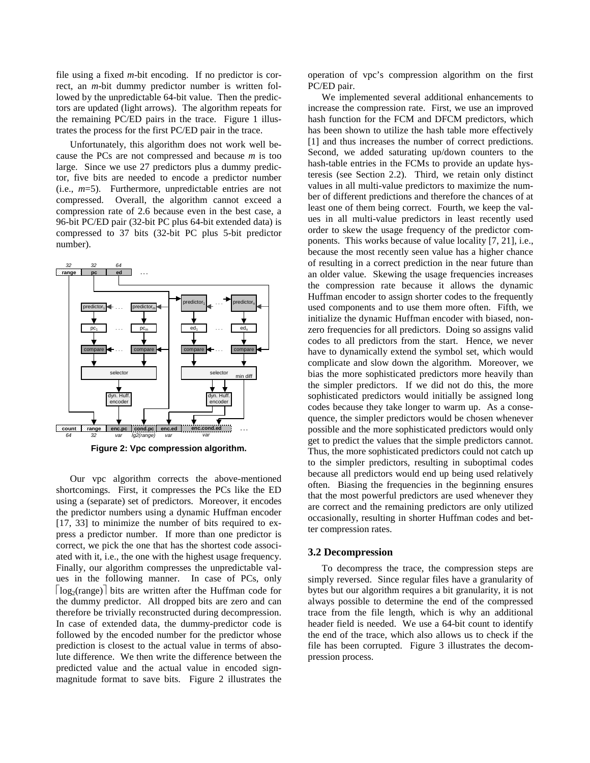file using a fixed *m*-bit encoding. If no predictor is correct, an *m*-bit dummy predictor number is written followed by the unpredictable 64-bit value. Then the predictors are updated (light arrows). The algorithm repeats for the remaining PC/ED pairs in the trace. Figure 1 illustrates the process for the first PC/ED pair in the trace.

Unfortunately, this algorithm does not work well because the PCs are not compressed and because *m* is too large. Since we use 27 predictors plus a dummy predictor, five bits are needed to encode a predictor number (i.e., *m*=5). Furthermore, unpredictable entries are not compressed. Overall, the algorithm cannot exceed a compression rate of 2.6 because even in the best case, a 96-bit PC/ED pair (32-bit PC plus 64-bit extended data) is compressed to 37 bits (32-bit PC plus 5-bit predictor number).



Our vpc algorithm corrects the above-mentioned shortcomings. First, it compresses the PCs like the ED using a (separate) set of predictors. Moreover, it encodes the predictor numbers using a dynamic Huffman encoder [17, 33] to minimize the number of bits required to express a predictor number. If more than one predictor is correct, we pick the one that has the shortest code associated with it, i.e., the one with the highest usage frequency. Finally, our algorithm compresses the unpredictable values in the following manner. In case of PCs, only  $\log_2$ (range) bits are written after the Huffman code for the dummy predictor. All dropped bits are zero and can therefore be trivially reconstructed during decompression. In case of extended data, the dummy-predictor code is followed by the encoded number for the predictor whose prediction is closest to the actual value in terms of absolute difference. We then write the difference between the predicted value and the actual value in encoded signmagnitude format to save bits. Figure 2 illustrates the

operation of vpc's compression algorithm on the first PC/ED pair.

We implemented several additional enhancements to increase the compression rate. First, we use an improved hash function for the FCM and DFCM predictors, which has been shown to utilize the hash table more effectively [1] and thus increases the number of correct predictions. Second, we added saturating up/down counters to the hash-table entries in the FCMs to provide an update hysteresis (see Section 2.2). Third, we retain only distinct values in all multi-value predictors to maximize the number of different predictions and therefore the chances of at least one of them being correct. Fourth, we keep the values in all multi-value predictors in least recently used order to skew the usage frequency of the predictor components. This works because of value locality [7, 21], i.e., because the most recently seen value has a higher chance of resulting in a correct prediction in the near future than an older value. Skewing the usage frequencies increases the compression rate because it allows the dynamic Huffman encoder to assign shorter codes to the frequently used components and to use them more often. Fifth, we initialize the dynamic Huffman encoder with biased, nonzero frequencies for all predictors. Doing so assigns valid codes to all predictors from the start. Hence, we never have to dynamically extend the symbol set, which would complicate and slow down the algorithm. Moreover, we bias the more sophisticated predictors more heavily than the simpler predictors. If we did not do this, the more sophisticated predictors would initially be assigned long codes because they take longer to warm up. As a consequence, the simpler predictors would be chosen whenever possible and the more sophisticated predictors would only get to predict the values that the simple predictors cannot. Thus, the more sophisticated predictors could not catch up to the simpler predictors, resulting in suboptimal codes because all predictors would end up being used relatively often. Biasing the frequencies in the beginning ensures that the most powerful predictors are used whenever they are correct and the remaining predictors are only utilized occasionally, resulting in shorter Huffman codes and better compression rates.

#### **3.2 Decompression**

To decompress the trace, the compression steps are simply reversed. Since regular files have a granularity of bytes but our algorithm requires a bit granularity, it is not always possible to determine the end of the compressed trace from the file length, which is why an additional header field is needed. We use a 64-bit count to identify the end of the trace, which also allows us to check if the file has been corrupted. Figure 3 illustrates the decompression process.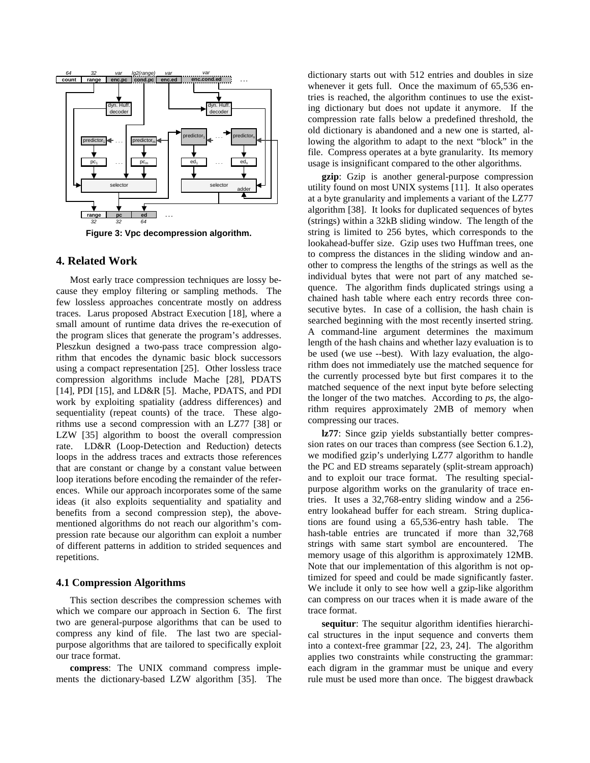

**Figure 3: Vpc decompression algorithm.** 

## **4. Related Work**

Most early trace compression techniques are lossy because they employ filtering or sampling methods. The few lossless approaches concentrate mostly on address traces. Larus proposed Abstract Execution [18], where a small amount of runtime data drives the re-execution of the program slices that generate the program's addresses. Pleszkun designed a two-pass trace compression algorithm that encodes the dynamic basic block successors using a compact representation [25]. Other lossless trace compression algorithms include Mache [28], PDATS [14], PDI [15], and LD&R [5]. Mache, PDATS, and PDI work by exploiting spatiality (address differences) and sequentiality (repeat counts) of the trace. These algorithms use a second compression with an LZ77 [38] or LZW [35] algorithm to boost the overall compression rate. LD&R (Loop-Detection and Reduction) detects loops in the address traces and extracts those references that are constant or change by a constant value between loop iterations before encoding the remainder of the references. While our approach incorporates some of the same ideas (it also exploits sequentiality and spatiality and benefits from a second compression step), the abovementioned algorithms do not reach our algorithm's compression rate because our algorithm can exploit a number of different patterns in addition to strided sequences and repetitions.

### **4.1 Compression Algorithms**

This section describes the compression schemes with which we compare our approach in Section 6. The first two are general-purpose algorithms that can be used to compress any kind of file. The last two are specialpurpose algorithms that are tailored to specifically exploit our trace format.

**compress**: The UNIX command compress implements the dictionary-based LZW algorithm [35]. The dictionary starts out with 512 entries and doubles in size whenever it gets full. Once the maximum of 65,536 entries is reached, the algorithm continues to use the existing dictionary but does not update it anymore. If the compression rate falls below a predefined threshold, the old dictionary is abandoned and a new one is started, allowing the algorithm to adapt to the next "block" in the file. Compress operates at a byte granularity. Its memory usage is insignificant compared to the other algorithms.

**gzip**: Gzip is another general-purpose compression utility found on most UNIX systems [11]. It also operates at a byte granularity and implements a variant of the LZ77 algorithm [38]. It looks for duplicated sequences of bytes (strings) within a 32kB sliding window. The length of the string is limited to 256 bytes, which corresponds to the lookahead-buffer size. Gzip uses two Huffman trees, one to compress the distances in the sliding window and another to compress the lengths of the strings as well as the individual bytes that were not part of any matched sequence. The algorithm finds duplicated strings using a chained hash table where each entry records three consecutive bytes. In case of a collision, the hash chain is searched beginning with the most recently inserted string. A command-line argument determines the maximum length of the hash chains and whether lazy evaluation is to be used (we use --best). With lazy evaluation, the algorithm does not immediately use the matched sequence for the currently processed byte but first compares it to the matched sequence of the next input byte before selecting the longer of the two matches. According to *ps*, the algorithm requires approximately 2MB of memory when compressing our traces.

**lz77**: Since gzip yields substantially better compression rates on our traces than compress (see Section 6.1.2), we modified gzip's underlying LZ77 algorithm to handle the PC and ED streams separately (split-stream approach) and to exploit our trace format. The resulting specialpurpose algorithm works on the granularity of trace entries. It uses a 32,768-entry sliding window and a 256 entry lookahead buffer for each stream. String duplications are found using a 65,536-entry hash table. The hash-table entries are truncated if more than 32,768 strings with same start symbol are encountered. The memory usage of this algorithm is approximately 12MB. Note that our implementation of this algorithm is not optimized for speed and could be made significantly faster. We include it only to see how well a gzip-like algorithm can compress on our traces when it is made aware of the trace format.

**sequitur**: The sequitur algorithm identifies hierarchical structures in the input sequence and converts them into a context-free grammar [22, 23, 24]. The algorithm applies two constraints while constructing the grammar: each digram in the grammar must be unique and every rule must be used more than once. The biggest drawback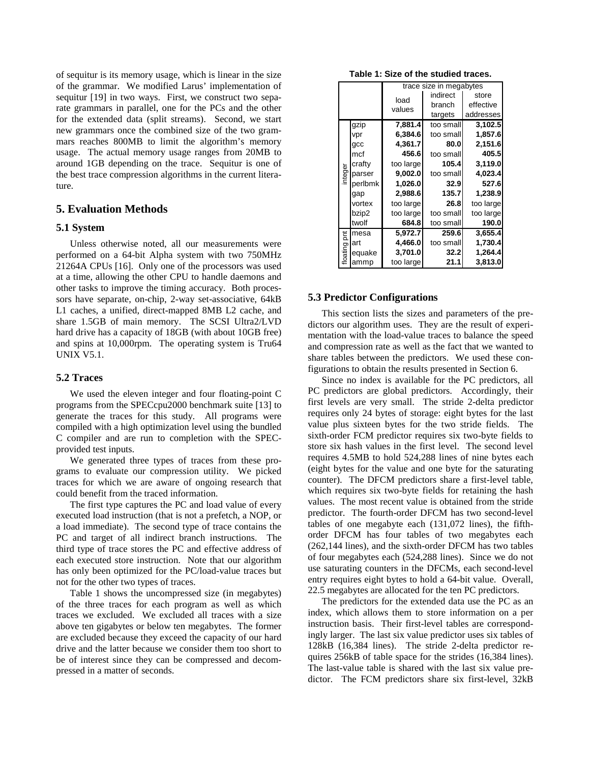of sequitur is its memory usage, which is linear in the size of the grammar. We modified Larus' implementation of sequitur [19] in two ways. First, we construct two separate grammars in parallel, one for the PCs and the other for the extended data (split streams). Second, we start new grammars once the combined size of the two grammars reaches 800MB to limit the algorithm's memory usage. The actual memory usage ranges from 20MB to around 1GB depending on the trace. Sequitur is one of the best trace compression algorithms in the current literature.

## **5. Evaluation Methods**

#### **5.1 System**

Unless otherwise noted, all our measurements were performed on a 64-bit Alpha system with two 750MHz 21264A CPUs [16]. Only one of the processors was used at a time, allowing the other CPU to handle daemons and other tasks to improve the timing accuracy. Both processors have separate, on-chip, 2-way set-associative, 64kB L1 caches, a unified, direct-mapped 8MB L2 cache, and share 1.5GB of main memory. The SCSI Ultra2/LVD hard drive has a capacity of 18GB (with about 10GB free) and spins at 10,000rpm. The operating system is Tru64 UNIX V5.1.

#### **5.2 Traces**

We used the eleven integer and four floating-point C programs from the SPECcpu2000 benchmark suite [13] to generate the traces for this study. All programs were compiled with a high optimization level using the bundled C compiler and are run to completion with the SPECprovided test inputs.

We generated three types of traces from these programs to evaluate our compression utility. We picked traces for which we are aware of ongoing research that could benefit from the traced information.

The first type captures the PC and load value of every executed load instruction (that is not a prefetch, a NOP, or a load immediate). The second type of trace contains the PC and target of all indirect branch instructions. The third type of trace stores the PC and effective address of each executed store instruction. Note that our algorithm has only been optimized for the PC/load-value traces but not for the other two types of traces.

Table 1 shows the uncompressed size (in megabytes) of the three traces for each program as well as which traces we excluded. We excluded all traces with a size above ten gigabytes or below ten megabytes. The former are excluded because they exceed the capacity of our hard drive and the latter because we consider them too short to be of interest since they can be compressed and decompressed in a matter of seconds.

**Table 1: Size of the studied traces.** 

|           |         | trace size in megabytes |           |           |
|-----------|---------|-------------------------|-----------|-----------|
|           |         | load<br>values          | indirect  | store     |
|           |         |                         | branch    | effective |
|           |         |                         | targets   | addresses |
| integer   | gzip    | 7,881.4                 | too small | 3,102.5   |
|           | vpr     | 6,384.6                 | too small | 1,857.6   |
|           | gcc     | 4,361.7                 | 80.0      | 2,151.6   |
|           | mcf     | 456.6                   | too small | 405.5     |
|           | crafty  | too large               | 105.4     | 3,119.0   |
|           | parser  | 9,002.0                 | too small | 4.023.4   |
|           | perlbmk | 1,026.0                 | 32.9      | 527.6     |
|           | gap     | 2,988.6                 | 135.7     | 1,238.9   |
|           | vortex  | too large               | 26.8      | too large |
|           | bzip2   | too large               | too small | too large |
|           | twolf   | 684.8                   | too small | 190.0     |
| ng pritec | mesa    | 5,972.7                 | 259.6     | 3,655.4   |
|           | art     | 4,466.0                 | too small | 1,730.4   |
|           | equake  | 3,701.0                 | 32.2      | 1,264.4   |
|           | ammp    | too large               | 21.1      | 3,813.0   |

### **5.3 Predictor Configurations**

This section lists the sizes and parameters of the predictors our algorithm uses. They are the result of experimentation with the load-value traces to balance the speed and compression rate as well as the fact that we wanted to share tables between the predictors. We used these configurations to obtain the results presented in Section 6.

Since no index is available for the PC predictors, all PC predictors are global predictors. Accordingly, their first levels are very small. The stride 2-delta predictor requires only 24 bytes of storage: eight bytes for the last value plus sixteen bytes for the two stride fields. The sixth-order FCM predictor requires six two-byte fields to store six hash values in the first level. The second level requires 4.5MB to hold 524,288 lines of nine bytes each (eight bytes for the value and one byte for the saturating counter). The DFCM predictors share a first-level table, which requires six two-byte fields for retaining the hash values. The most recent value is obtained from the stride predictor. The fourth-order DFCM has two second-level tables of one megabyte each (131,072 lines), the fifthorder DFCM has four tables of two megabytes each (262,144 lines), and the sixth-order DFCM has two tables of four megabytes each (524,288 lines). Since we do not use saturating counters in the DFCMs, each second-level entry requires eight bytes to hold a 64-bit value. Overall, 22.5 megabytes are allocated for the ten PC predictors.

The predictors for the extended data use the PC as an index, which allows them to store information on a per instruction basis. Their first-level tables are correspondingly larger. The last six value predictor uses six tables of 128kB (16,384 lines). The stride 2-delta predictor requires 256kB of table space for the strides (16,384 lines). The last-value table is shared with the last six value predictor. The FCM predictors share six first-level, 32kB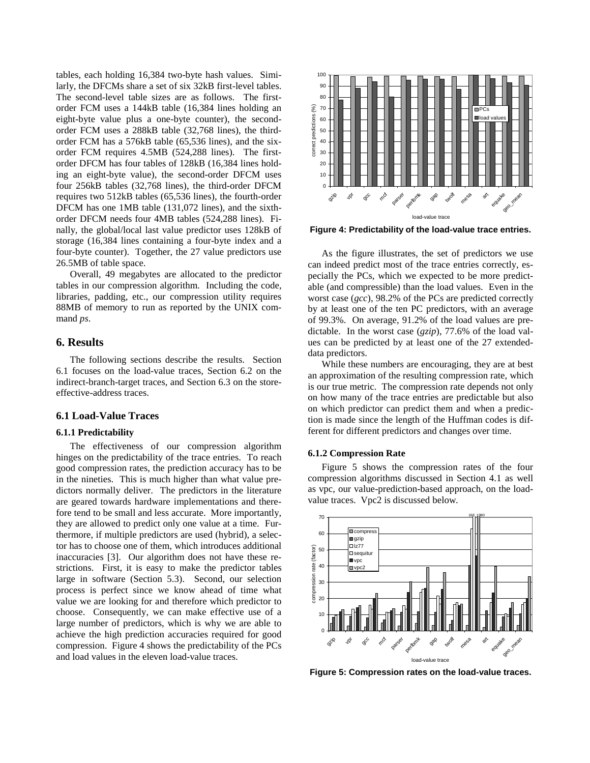tables, each holding 16,384 two-byte hash values. Similarly, the DFCMs share a set of six 32kB first-level tables. The second-level table sizes are as follows. The firstorder FCM uses a 144kB table (16,384 lines holding an eight-byte value plus a one-byte counter), the secondorder FCM uses a 288kB table (32,768 lines), the thirdorder FCM has a 576kB table (65,536 lines), and the sixorder FCM requires 4.5MB (524,288 lines). The firstorder DFCM has four tables of 128kB (16,384 lines holding an eight-byte value), the second-order DFCM uses four 256kB tables (32,768 lines), the third-order DFCM requires two 512kB tables (65,536 lines), the fourth-order DFCM has one 1MB table (131,072 lines), and the sixthorder DFCM needs four 4MB tables (524,288 lines). Finally, the global/local last value predictor uses 128kB of storage (16,384 lines containing a four-byte index and a four-byte counter). Together, the 27 value predictors use 26.5MB of table space.

Overall, 49 megabytes are allocated to the predictor tables in our compression algorithm. Including the code, libraries, padding, etc., our compression utility requires 88MB of memory to run as reported by the UNIX command *ps*.

#### **6. Results**

The following sections describe the results. Section 6.1 focuses on the load-value traces, Section 6.2 on the indirect-branch-target traces, and Section 6.3 on the storeeffective-address traces.

### **6.1 Load-Value Traces**

#### **6.1.1 Predictability**

The effectiveness of our compression algorithm hinges on the predictability of the trace entries. To reach good compression rates, the prediction accuracy has to be in the nineties. This is much higher than what value predictors normally deliver. The predictors in the literature are geared towards hardware implementations and therefore tend to be small and less accurate. More importantly, they are allowed to predict only one value at a time. Furthermore, if multiple predictors are used (hybrid), a selector has to choose one of them, which introduces additional inaccuracies [3]. Our algorithm does not have these restrictions. First, it is easy to make the predictor tables large in software (Section 5.3). Second, our selection process is perfect since we know ahead of time what value we are looking for and therefore which predictor to choose. Consequently, we can make effective use of a large number of predictors, which is why we are able to achieve the high prediction accuracies required for good compression. Figure 4 shows the predictability of the PCs and load values in the eleven load-value traces.



**Figure 4: Predictability of the load-value trace entries.** 

As the figure illustrates, the set of predictors we use can indeed predict most of the trace entries correctly, especially the PCs, which we expected to be more predictable (and compressible) than the load values. Even in the worst case (*gcc*), 98.2% of the PCs are predicted correctly by at least one of the ten PC predictors, with an average of 99.3%. On average, 91.2% of the load values are predictable. In the worst case (*gzip*), 77.6% of the load values can be predicted by at least one of the 27 extendeddata predictors.

While these numbers are encouraging, they are at best an approximation of the resulting compression rate, which is our true metric. The compression rate depends not only on how many of the trace entries are predictable but also on which predictor can predict them and when a prediction is made since the length of the Huffman codes is different for different predictors and changes over time.

#### **6.1.2 Compression Rate**

Figure 5 shows the compression rates of the four compression algorithms discussed in Section 4.1 as well as vpc, our value-prediction-based approach, on the loadvalue traces. Vpc2 is discussed below.



**Figure 5: Compression rates on the load-value traces.**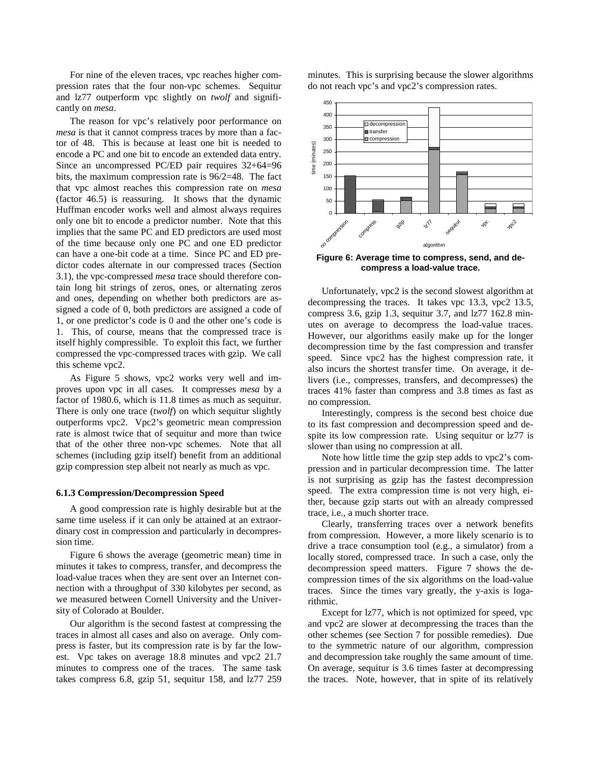For nine of the eleven traces, vpc reaches higher compression rates that the four non-vpc schemes. Sequitur and lz77 outperform vpc slightly on *twolf* and significantly on *mesa*.

The reason for vpc's relatively poor performance on *mesa* is that it cannot compress traces by more than a factor of 48. This is because at least one bit is needed to encode a PC and one bit to encode an extended data entry. Since an uncompressed PC/ED pair requires 32+64=96 bits, the maximum compression rate is 96/2=48. The fact that vpc almost reaches this compression rate on *mesa* (factor 46.5) is reassuring. It shows that the dynamic Huffman encoder works well and almost always requires only one bit to encode a predictor number. Note that this implies that the same PC and ED predictors are used most of the time because only one PC and one ED predictor can have a one-bit code at a time. Since PC and ED predictor codes alternate in our compressed traces (Section 3.1), the vpc-compressed *mesa* trace should therefore contain long bit strings of zeros, ones, or alternating zeros and ones, depending on whether both predictors are assigned a code of 0, both predictors are assigned a code of 1, or one predictor's code is 0 and the other one's code is 1. This, of course, means that the compressed trace is itself highly compressible. To exploit this fact, we further compressed the vpc-compressed traces with gzip. We call this scheme vpc2.

As Figure 5 shows, vpc2 works very well and improves upon vpc in all cases. It compresses *mesa* by a factor of 1980.6, which is 11.8 times as much as sequitur. There is only one trace (*twolf*) on which sequitur slightly outperforms vpc2. Vpc2's geometric mean compression rate is almost twice that of sequitur and more than twice that of the other three non-vpc schemes. Note that all schemes (including gzip itself) benefit from an additional gzip compression step albeit not nearly as much as vpc.

#### **6.1.3 Compression/Decompression Speed**

A good compression rate is highly desirable but at the same time useless if it can only be attained at an extraordinary cost in compression and particularly in decompression time.

Figure 6 shows the average (geometric mean) time in minutes it takes to compress, transfer, and decompress the load-value traces when they are sent over an Internet connection with a throughput of 330 kilobytes per second, as we measured between Cornell University and the University of Colorado at Boulder.

Our algorithm is the second fastest at compressing the traces in almost all cases and also on average. Only compress is faster, but its compression rate is by far the lowest. Vpc takes on average 18.8 minutes and vpc2 21.7 minutes to compress one of the traces. The same task takes compress 6.8, gzip 51, sequitur 158, and lz77 259

minutes. This is surprising because the slower algorithms do not reach vpc's and vpc2's compression rates.



**Figure 6: Average time to compress, send, and decompress a load-value trace.** 

Unfortunately, vpc2 is the second slowest algorithm at decompressing the traces. It takes vpc 13.3, vpc2 13.5, compress 3.6, gzip 1.3, sequitur 3.7, and lz77 162.8 minutes on average to decompress the load-value traces. However, our algorithms easily make up for the longer decompression time by the fast compression and transfer speed. Since vpc2 has the highest compression rate, it also incurs the shortest transfer time. On average, it delivers (i.e., compresses, transfers, and decompresses) the traces 41% faster than compress and 3.8 times as fast as no compression.

Interestingly, compress is the second best choice due to its fast compression and decompression speed and despite its low compression rate. Using sequitur or lz77 is slower than using no compression at all.

Note how little time the gzip step adds to vpc2's compression and in particular decompression time. The latter is not surprising as gzip has the fastest decompression speed. The extra compression time is not very high, either, because gzip starts out with an already compressed trace, i.e., a much shorter trace.

Clearly, transferring traces over a network benefits from compression. However, a more likely scenario is to drive a trace consumption tool (e.g., a simulator) from a locally stored, compressed trace. In such a case, only the decompression speed matters. Figure 7 shows the decompression times of the six algorithms on the load-value traces. Since the times vary greatly, the y-axis is logarithmic.

Except for lz77, which is not optimized for speed, vpc and vpc2 are slower at decompressing the traces than the other schemes (see Section 7 for possible remedies). Due to the symmetric nature of our algorithm, compression and decompression take roughly the same amount of time. On average, sequitur is 3.6 times faster at decompressing the traces. Note, however, that in spite of its relatively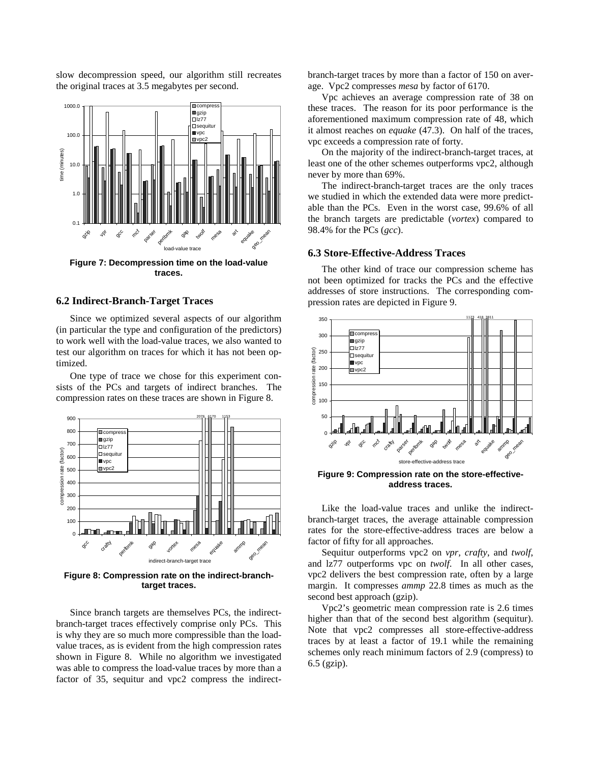slow decompression speed, our algorithm still recreates the original traces at 3.5 megabytes per second.



**Figure 7: Decompression time on the load-value traces.** 

#### **6.2 Indirect-Branch-Target Traces**

Since we optimized several aspects of our algorithm (in particular the type and configuration of the predictors) to work well with the load-value traces, we also wanted to test our algorithm on traces for which it has not been optimized.

One type of trace we chose for this experiment consists of the PCs and targets of indirect branches. The compression rates on these traces are shown in Figure 8.



**Figure 8: Compression rate on the indirect-branchtarget traces.** 

Since branch targets are themselves PCs, the indirectbranch-target traces effectively comprise only PCs. This is why they are so much more compressible than the loadvalue traces, as is evident from the high compression rates shown in Figure 8. While no algorithm we investigated was able to compress the load-value traces by more than a factor of 35, sequitur and vpc2 compress the indirectbranch-target traces by more than a factor of 150 on average. Vpc2 compresses *mesa* by factor of 6170.

Vpc achieves an average compression rate of 38 on these traces. The reason for its poor performance is the aforementioned maximum compression rate of 48, which it almost reaches on *equake* (47.3). On half of the traces, vpc exceeds a compression rate of forty.

On the majority of the indirect-branch-target traces, at least one of the other schemes outperforms vpc2, although never by more than 69%.

The indirect-branch-target traces are the only traces we studied in which the extended data were more predictable than the PCs. Even in the worst case, 99.6% of all the branch targets are predictable (*vortex*) compared to 98.4% for the PCs (*gcc*).

#### **6.3 Store-Effective-Address Traces**

The other kind of trace our compression scheme has not been optimized for tracks the PCs and the effective addresses of store instructions. The corresponding compression rates are depicted in Figure 9.



**address traces.** 

Like the load-value traces and unlike the indirectbranch-target traces, the average attainable compression rates for the store-effective-address traces are below a factor of fifty for all approaches.

Sequitur outperforms vpc2 on *vpr, crafty*, and *twolf*, and lz77 outperforms vpc on *twolf*. In all other cases, vpc2 delivers the best compression rate, often by a large margin. It compresses *ammp* 22.8 times as much as the second best approach (gzip).

Vpc2's geometric mean compression rate is 2.6 times higher than that of the second best algorithm (sequitur). Note that vpc2 compresses all store-effective-address traces by at least a factor of 19.1 while the remaining schemes only reach minimum factors of 2.9 (compress) to 6.5 (gzip).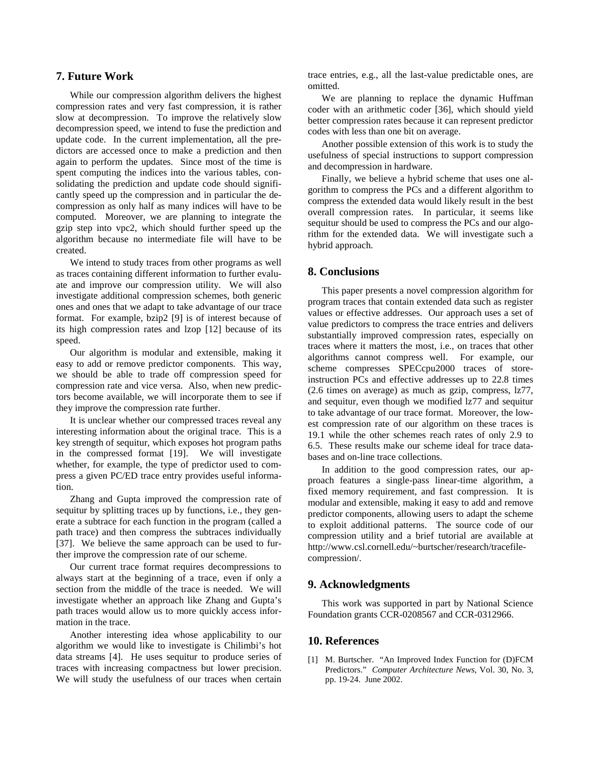# **7. Future Work**

While our compression algorithm delivers the highest compression rates and very fast compression, it is rather slow at decompression. To improve the relatively slow decompression speed, we intend to fuse the prediction and update code. In the current implementation, all the predictors are accessed once to make a prediction and then again to perform the updates. Since most of the time is spent computing the indices into the various tables, consolidating the prediction and update code should significantly speed up the compression and in particular the decompression as only half as many indices will have to be computed. Moreover, we are planning to integrate the gzip step into vpc2, which should further speed up the algorithm because no intermediate file will have to be created.

We intend to study traces from other programs as well as traces containing different information to further evaluate and improve our compression utility. We will also investigate additional compression schemes, both generic ones and ones that we adapt to take advantage of our trace format. For example, bzip2 [9] is of interest because of its high compression rates and lzop [12] because of its speed.

Our algorithm is modular and extensible, making it easy to add or remove predictor components. This way, we should be able to trade off compression speed for compression rate and vice versa. Also, when new predictors become available, we will incorporate them to see if they improve the compression rate further.

It is unclear whether our compressed traces reveal any interesting information about the original trace. This is a key strength of sequitur, which exposes hot program paths in the compressed format [19]. We will investigate whether, for example, the type of predictor used to compress a given PC/ED trace entry provides useful information.

Zhang and Gupta improved the compression rate of sequitur by splitting traces up by functions, i.e., they generate a subtrace for each function in the program (called a path trace) and then compress the subtraces individually [37]. We believe the same approach can be used to further improve the compression rate of our scheme.

Our current trace format requires decompressions to always start at the beginning of a trace, even if only a section from the middle of the trace is needed. We will investigate whether an approach like Zhang and Gupta's path traces would allow us to more quickly access information in the trace.

Another interesting idea whose applicability to our algorithm we would like to investigate is Chilimbi's hot data streams [4]. He uses sequitur to produce series of traces with increasing compactness but lower precision. We will study the usefulness of our traces when certain trace entries, e.g., all the last-value predictable ones, are omitted.

We are planning to replace the dynamic Huffman coder with an arithmetic coder [36], which should yield better compression rates because it can represent predictor codes with less than one bit on average.

Another possible extension of this work is to study the usefulness of special instructions to support compression and decompression in hardware.

Finally, we believe a hybrid scheme that uses one algorithm to compress the PCs and a different algorithm to compress the extended data would likely result in the best overall compression rates. In particular, it seems like sequitur should be used to compress the PCs and our algorithm for the extended data. We will investigate such a hybrid approach.

## **8. Conclusions**

This paper presents a novel compression algorithm for program traces that contain extended data such as register values or effective addresses. Our approach uses a set of value predictors to compress the trace entries and delivers substantially improved compression rates, especially on traces where it matters the most, i.e., on traces that other algorithms cannot compress well. For example, our scheme compresses SPECcpu2000 traces of storeinstruction PCs and effective addresses up to 22.8 times (2.6 times on average) as much as gzip, compress, lz77, and sequitur, even though we modified lz77 and sequitur to take advantage of our trace format. Moreover, the lowest compression rate of our algorithm on these traces is 19.1 while the other schemes reach rates of only 2.9 to 6.5. These results make our scheme ideal for trace databases and on-line trace collections.

In addition to the good compression rates, our approach features a single-pass linear-time algorithm, a fixed memory requirement, and fast compression. It is modular and extensible, making it easy to add and remove predictor components, allowing users to adapt the scheme to exploit additional patterns. The source code of our compression utility and a brief tutorial are available at http://www.csl.cornell.edu/~burtscher/research/tracefilecompression/.

### **9. Acknowledgments**

This work was supported in part by National Science Foundation grants CCR-0208567 and CCR-0312966.

### **10. References**

[1] M. Burtscher. "An Improved Index Function for (D)FCM Predictors." *Computer Architecture News*, Vol. 30, No. 3, pp. 19-24. June 2002.